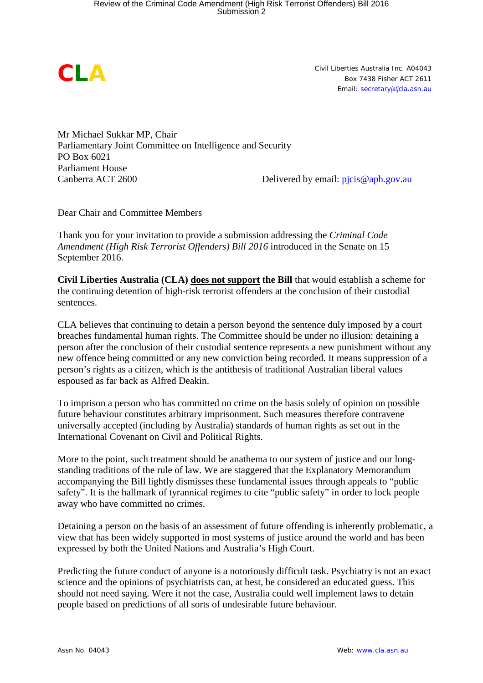*CLA* 

*Civil Liberties Australia Inc. A04043 Box 7438 Fisher ACT 2611 Email: secretary[at]cla.asn.au*

Mr Michael Sukkar MP, Chair Parliamentary Joint Committee on Intelligence and Security PO Box 6021 Parliament House<br>Canberra ACT 2600

Delivered by email:  $picis@aph.gov.au$ 

Dear Chair and Committee Members

Thank you for your invitation to provide a submission addressing the *Criminal Code Amendment (High Risk Terrorist Offenders) Bill 2016* introduced in the Senate on 15 September 2016.

**Civil Liberties Australia (CLA) does not support the Bill** that would establish a scheme for the continuing detention of high-risk terrorist offenders at the conclusion of their custodial sentences.

CLA believes that continuing to detain a person beyond the sentence duly imposed by a court breaches fundamental human rights. The Committee should be under no illusion: detaining a person after the conclusion of their custodial sentence represents a new punishment without any new offence being committed or any new conviction being recorded. It means suppression of a person's rights as a citizen, which is the antithesis of traditional Australian liberal values espoused as far back as Alfred Deakin.

To imprison a person who has committed no crime on the basis solely of opinion on possible future behaviour constitutes arbitrary imprisonment. Such measures therefore contravene universally accepted (including by Australia) standards of human rights as set out in the International Covenant on Civil and Political Rights.

More to the point, such treatment should be anathema to our system of justice and our longstanding traditions of the rule of law. We are staggered that the Explanatory Memorandum accompanying the Bill lightly dismisses these fundamental issues through appeals to "public safety". It is the hallmark of tyrannical regimes to cite "public safety" in order to lock people away who have committed no crimes.

Detaining a person on the basis of an assessment of future offending is inherently problematic, a view that has been widely supported in most systems of justice around the world and has been expressed by both the United Nations and Australia's High Court.

Predicting the future conduct of anyone is a notoriously difficult task. Psychiatry is not an exact science and the opinions of psychiatrists can, at best, be considered an educated guess. This should not need saying. Were it not the case, Australia could well implement laws to detain people based on predictions of all sorts of undesirable future behaviour.